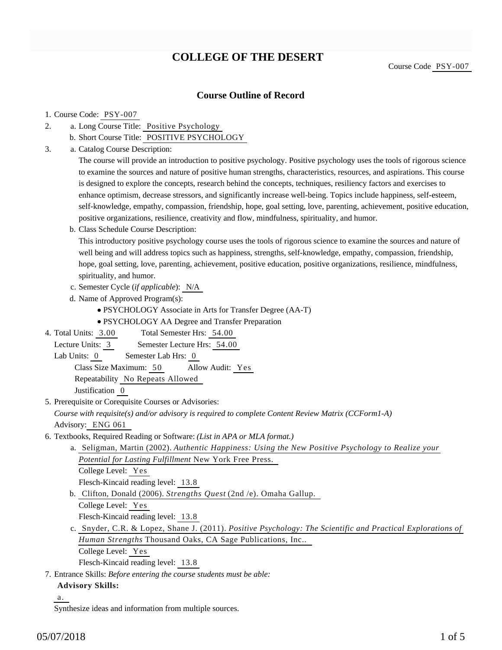# **COLLEGE OF THE DESERT**

## **Course Outline of Record**

#### 1. Course Code: PSY-007

- a. Long Course Title: Positive Psychology 2.
	- b. Short Course Title: POSITIVE PSYCHOLOGY
- Catalog Course Description: a. 3.

The course will provide an introduction to positive psychology. Positive psychology uses the tools of rigorous science to examine the sources and nature of positive human strengths, characteristics, resources, and aspirations. This course is designed to explore the concepts, research behind the concepts, techniques, resiliency factors and exercises to enhance optimism, decrease stressors, and significantly increase well-being. Topics include happiness, self-esteem, self-knowledge, empathy, compassion, friendship, hope, goal setting, love, parenting, achievement, positive education, positive organizations, resilience, creativity and flow, mindfulness, spirituality, and humor.

b. Class Schedule Course Description:

This introductory positive psychology course uses the tools of rigorous science to examine the sources and nature of well being and will address topics such as happiness, strengths, self-knowledge, empathy, compassion, friendship, hope, goal setting, love, parenting, achievement, positive education, positive organizations, resilience, mindfulness, spirituality, and humor.

- c. Semester Cycle (*if applicable*): N/A
- d. Name of Approved Program(s):
	- PSYCHOLOGY Associate in Arts for Transfer Degree (AA-T)
	- PSYCHOLOGY AA Degree and Transfer Preparation
- Total Semester Hrs: 54.00 4. Total Units: 3.00
- Lecture Units: 3 Semester Lecture Hrs: 54.00
- Lab Units: 0 Semester Lab Hrs: 0

Class Size Maximum: 50 Allow Audit: Yes

Repeatability No Repeats Allowed

Justification 0

5. Prerequisite or Corequisite Courses or Advisories:

*Course with requisite(s) and/or advisory is required to complete Content Review Matrix (CCForm1-A)* Advisory: ENG 061

- 6. Textbooks, Required Reading or Software: (List in APA or MLA format.)
	- a. Seligman, Martin (2002). *Authentic Happiness: Using the New Positive Psychology to Realize your Potential for Lasting Fulfillment* New York Free Press. College Level: Yes

Flesch-Kincaid reading level: 13.8

- Clifton, Donald (2006). *Strengths Quest* (2nd /e). Omaha Gallup. b. College Level: Yes Flesch-Kincaid reading level: 13.8
- c. Snyder, C.R. & Lopez, Shane J. (2011). *Positive Psychology: The Scientific and Practical Explorations of Human Strengths* Thousand Oaks, CA Sage Publications, Inc..
	- College Level: Yes

Flesch-Kincaid reading level: 13.8

Entrance Skills: *Before entering the course students must be able:* 7.

#### **Advisory Skills:**

a.

Synthesize ideas and information from multiple sources.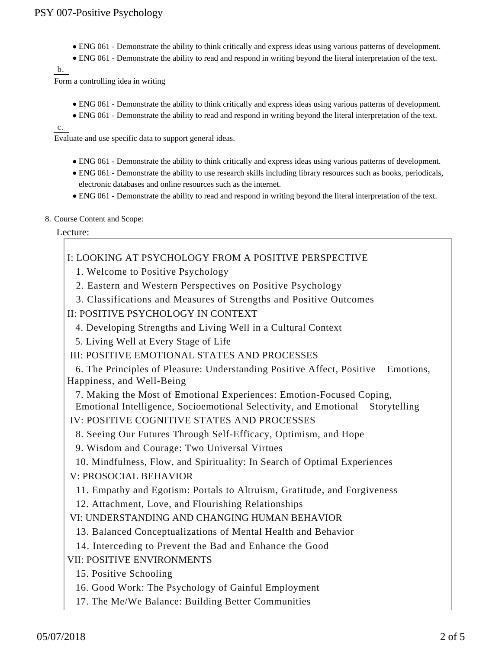- ENG 061 Demonstrate the ability to think critically and express ideas using various patterns of development.
- ENG 061 Demonstrate the ability to read and respond in writing beyond the literal interpretation of the text.

b.

Form a controlling idea in writing

- ENG 061 Demonstrate the ability to think critically and express ideas using various patterns of development.
- ENG 061 Demonstrate the ability to read and respond in writing beyond the literal interpretation of the text.

c.

Evaluate and use specific data to support general ideas.

- ENG 061 Demonstrate the ability to think critically and express ideas using various patterns of development.
- ENG 061 Demonstrate the ability to use research skills including library resources such as books, periodicals, electronic databases and online resources such as the internet.
- ENG 061 Demonstrate the ability to read and respond in writing beyond the literal interpretation of the text.
- 8. Course Content and Scope:

### Lecture:

I: LOOKING AT PSYCHOLOGY FROM A POSITIVE PERSPECTIVE

- 1. Welcome to Positive Psychology
- 2. Eastern and Western Perspectives on Positive Psychology
- 3. Classifications and Measures of Strengths and Positive Outcomes
- II: POSITIVE PSYCHOLOGY IN CONTEXT
	- 4. Developing Strengths and Living Well in a Cultural Context
	- 5. Living Well at Every Stage of Life
- III: POSITIVE EMOTIONAL STATES AND PROCESSES

 6. The Principles of Pleasure: Understanding Positive Affect, Positive Emotions, Happiness, and Well-Being

 7. Making the Most of Emotional Experiences: Emotion-Focused Coping, Emotional Intelligence, Socioemotional Selectivity, and Emotional Storytelling

- IV: POSITIVE COGNITIVE STATES AND PROCESSES
	- 8. Seeing Our Futures Through Self-Efficacy, Optimism, and Hope
	- 9. Wisdom and Courage: Two Universal Virtues
	- 10. Mindfulness, Flow, and Spirituality: In Search of Optimal Experiences
- V: PROSOCIAL BEHAVIOR
	- 11. Empathy and Egotism: Portals to Altruism, Gratitude, and Forgiveness
	- 12. Attachment, Love, and Flourishing Relationships
- VI: UNDERSTANDING AND CHANGING HUMAN BEHAVIOR
	- 13. Balanced Conceptualizations of Mental Health and Behavior
	- 14. Interceding to Prevent the Bad and Enhance the Good

VII: POSITIVE ENVIRONMENTS

- 15. Positive Schooling
- 16. Good Work: The Psychology of Gainful Employment
- 17. The Me/We Balance: Building Better Communities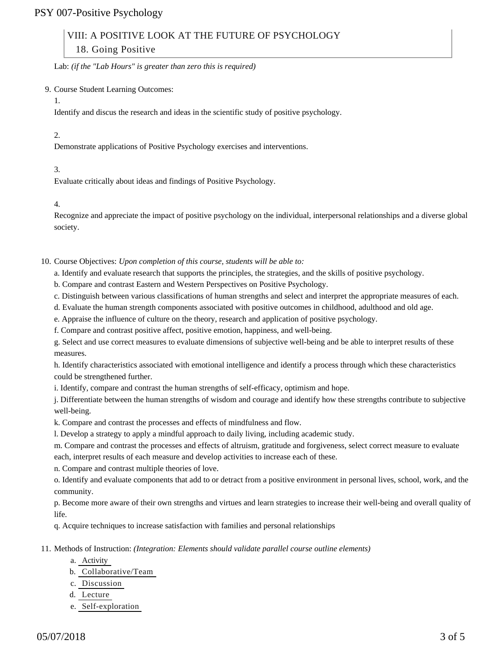## PSY 007-Positive Psychology

# VIII: A POSITIVE LOOK AT THE FUTURE OF PSYCHOLOGY

18. Going Positive

Lab: *(if the "Lab Hours" is greater than zero this is required)*

9. Course Student Learning Outcomes:

1.

Identify and discus the research and ideas in the scientific study of positive psychology.

2.

Demonstrate applications of Positive Psychology exercises and interventions.

3.

Evaluate critically about ideas and findings of Positive Psychology.

4.

Recognize and appreciate the impact of positive psychology on the individual, interpersonal relationships and a diverse global society.

10. Course Objectives: Upon completion of this course, students will be able to:

a. Identify and evaluate research that supports the principles, the strategies, and the skills of positive psychology.

b. Compare and contrast Eastern and Western Perspectives on Positive Psychology.

c. Distinguish between various classifications of human strengths and select and interpret the appropriate measures of each.

d. Evaluate the human strength components associated with positive outcomes in childhood, adulthood and old age.

e. Appraise the influence of culture on the theory, research and application of positive psychology.

f. Compare and contrast positive affect, positive emotion, happiness, and well-being.

g. Select and use correct measures to evaluate dimensions of subjective well-being and be able to interpret results of these measures.

h. Identify characteristics associated with emotional intelligence and identify a process through which these characteristics could be strengthened further.

i. Identify, compare and contrast the human strengths of self-efficacy, optimism and hope.

j. Differentiate between the human strengths of wisdom and courage and identify how these strengths contribute to subjective well-being.

k. Compare and contrast the processes and effects of mindfulness and flow.

l. Develop a strategy to apply a mindful approach to daily living, including academic study.

m. Compare and contrast the processes and effects of altruism, gratitude and forgiveness, select correct measure to evaluate each, interpret results of each measure and develop activities to increase each of these.

n. Compare and contrast multiple theories of love.

o. Identify and evaluate components that add to or detract from a positive environment in personal lives, school, work, and the community.

p. Become more aware of their own strengths and virtues and learn strategies to increase their well-being and overall quality of life.

q. Acquire techniques to increase satisfaction with families and personal relationships

11. Methods of Instruction: *(Integration: Elements should validate parallel course outline elements)* 

- a. Activity
- b. Collaborative/Team
- c. Discussion
- d. Lecture
- e. Self-exploration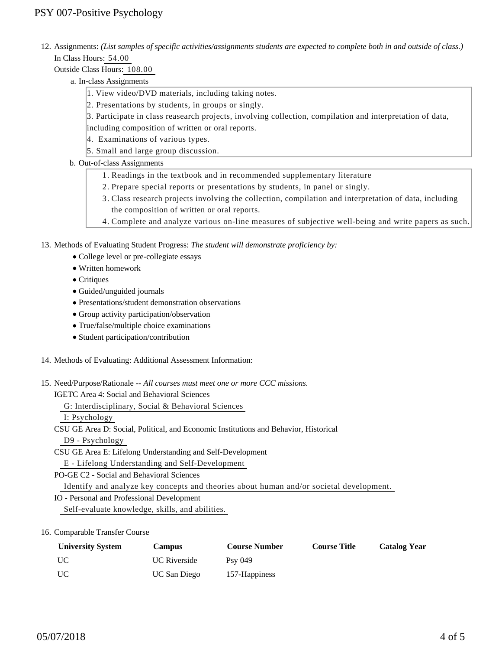12. Assignments: (List samples of specific activities/assignments students are expected to complete both in and outside of class.) In Class Hours: 54.00

Outside Class Hours: 108.00

- a. In-class Assignments
	- 1. View video/DVD materials, including taking notes.
	- 2. Presentations by students, in groups or singly.
	- 3. Participate in class reasearch projects, involving collection, compilation and interpretation of data, including composition of written or oral reports.
	- 4. Examinations of various types.
	- 5. Small and large group discussion.

## b. Out-of-class Assignments

- 1. Readings in the textbook and in recommended supplementary literature
- 2. Prepare special reports or presentations by students, in panel or singly.
- Class research projects involving the collection, compilation and interpretation of data, including 3. the composition of written or oral reports.
- 4. Complete and analyze various on-line measures of subjective well-being and write papers as such.

13. Methods of Evaluating Student Progress: The student will demonstrate proficiency by:

- College level or pre-collegiate essays
- Written homework
- Critiques
- Guided/unguided journals
- Presentations/student demonstration observations
- Group activity participation/observation
- True/false/multiple choice examinations
- Student participation/contribution
- 14. Methods of Evaluating: Additional Assessment Information:
- 15. Need/Purpose/Rationale -- All courses must meet one or more CCC missions.

IGETC Area 4: Social and Behavioral Sciences

G: Interdisciplinary, Social & Behavioral Sciences

I: Psychology

CSU GE Area D: Social, Political, and Economic Institutions and Behavior, Historical

D9 - Psychology

CSU GE Area E: Lifelong Understanding and Self-Development

E - Lifelong Understanding and Self-Development

PO-GE C2 - Social and Behavioral Sciences

Identify and analyze key concepts and theories about human and/or societal development.

IO - Personal and Professional Development

Self-evaluate knowledge, skills, and abilities.

## 16. Comparable Transfer Course

| <b>University System</b> | <b>Campus</b>       | <b>Course Number</b> | <b>Course Title</b> | <b>Catalog Year</b> |
|--------------------------|---------------------|----------------------|---------------------|---------------------|
| UC.                      | <b>UC</b> Riverside | $Psv$ 049            |                     |                     |
| <b>UC</b>                | <b>UC San Diego</b> | 157-Happiness        |                     |                     |